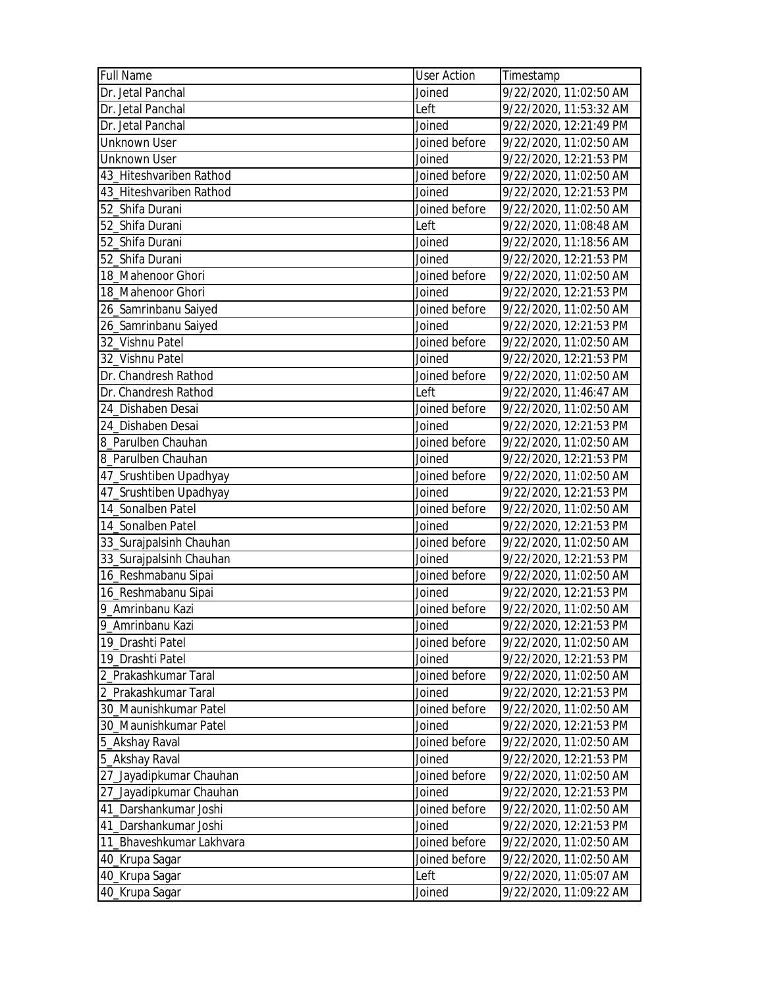| <b>Full Name</b>         | <b>User Action</b> | Timestamp              |
|--------------------------|--------------------|------------------------|
| Dr. Jetal Panchal        | Joined             | 9/22/2020, 11:02:50 AM |
| Dr. Jetal Panchal        | Left               | 9/22/2020, 11:53:32 AM |
| Dr. Jetal Panchal        | Joined             | 9/22/2020, 12:21:49 PM |
| <b>Unknown User</b>      | Joined before      | 9/22/2020, 11:02:50 AM |
| <b>Unknown User</b>      | Joined             | 9/22/2020, 12:21:53 PM |
| 43_Hiteshvariben Rathod  | Joined before      | 9/22/2020, 11:02:50 AM |
| 43_Hiteshvariben Rathod  | Joined             | 9/22/2020, 12:21:53 PM |
| 52_Shifa Durani          | Joined before      | 9/22/2020, 11:02:50 AM |
| 52 Shifa Durani          | Left               | 9/22/2020, 11:08:48 AM |
| 52_Shifa Durani          | Joined             | 9/22/2020, 11:18:56 AM |
| 52_Shifa Durani          | Joined             | 9/22/2020, 12:21:53 PM |
| 18_Mahenoor Ghori        | Joined before      | 9/22/2020, 11:02:50 AM |
| 18_Mahenoor Ghori        | Joined             | 9/22/2020, 12:21:53 PM |
| 26_Samrinbanu Saiyed     | Joined before      | 9/22/2020, 11:02:50 AM |
| 26_Samrinbanu Saiyed     | Joined             | 9/22/2020, 12:21:53 PM |
| 32_Vishnu Patel          | Joined before      | 9/22/2020, 11:02:50 AM |
| 32_Vishnu Patel          | Joined             | 9/22/2020, 12:21:53 PM |
| Dr. Chandresh Rathod     | Joined before      | 9/22/2020, 11:02:50 AM |
| Dr. Chandresh Rathod     | Left               | 9/22/2020, 11:46:47 AM |
| 24_Dishaben Desai        | Joined before      | 9/22/2020, 11:02:50 AM |
| 24 Dishaben Desai        | Joined             | 9/22/2020, 12:21:53 PM |
| 8_Parulben Chauhan       | Joined before      | 9/22/2020, 11:02:50 AM |
| 8_Parulben Chauhan       | Joined             | 9/22/2020, 12:21:53 PM |
| 47_Srushtiben Upadhyay   | Joined before      | 9/22/2020, 11:02:50 AM |
| 47_Srushtiben Upadhyay   | Joined             | 9/22/2020, 12:21:53 PM |
| 14_Sonalben Patel        | Joined before      | 9/22/2020, 11:02:50 AM |
| 14_Sonalben Patel        | Joined             | 9/22/2020, 12:21:53 PM |
| 33_Surajpalsinh Chauhan  | Joined before      | 9/22/2020, 11:02:50 AM |
| 33_Surajpalsinh Chauhan  | Joined             | 9/22/2020, 12:21:53 PM |
| 16_Reshmabanu Sipai      | Joined before      | 9/22/2020, 11:02:50 AM |
| 16_Reshmabanu Sipai      | Joined             | 9/22/2020, 12:21:53 PM |
| 9_Amrinbanu Kazi         | Joined before      | 9/22/2020, 11:02:50 AM |
| 9_Amrinbanu Kazi         | Joined             | 9/22/2020, 12:21:53 PM |
| 19_Drashti Patel         | Joined before      | 9/22/2020, 11:02:50 AM |
| 19_Drashti Patel         | Joined             | 9/22/2020, 12:21:53 PM |
| 2_Prakashkumar Taral     | Joined before      | 9/22/2020, 11:02:50 AM |
| 2_Prakashkumar Taral     | Joined             | 9/22/2020, 12:21:53 PM |
| 30 Maunishkumar Patel    | Joined before      | 9/22/2020, 11:02:50 AM |
| 30 Maunishkumar Patel    | Joined             | 9/22/2020, 12:21:53 PM |
| 5_Akshay Raval           | Joined before      | 9/22/2020, 11:02:50 AM |
| 5_Akshay Raval           | Joined             | 9/22/2020, 12:21:53 PM |
| 27_Jayadipkumar Chauhan  | Joined before      | 9/22/2020, 11:02:50 AM |
| 27_Jayadipkumar Chauhan  | Joined             | 9/22/2020, 12:21:53 PM |
| 41_Darshankumar Joshi    | Joined before      | 9/22/2020, 11:02:50 AM |
| 41_Darshankumar Joshi    | Joined             | 9/22/2020, 12:21:53 PM |
| 11_Bhaveshkumar Lakhvara | Joined before      | 9/22/2020, 11:02:50 AM |
| 40_Krupa Sagar           | Joined before      | 9/22/2020, 11:02:50 AM |
| 40_Krupa Sagar           | Left               | 9/22/2020, 11:05:07 AM |
| 40_Krupa Sagar           | Joined             | 9/22/2020, 11:09:22 AM |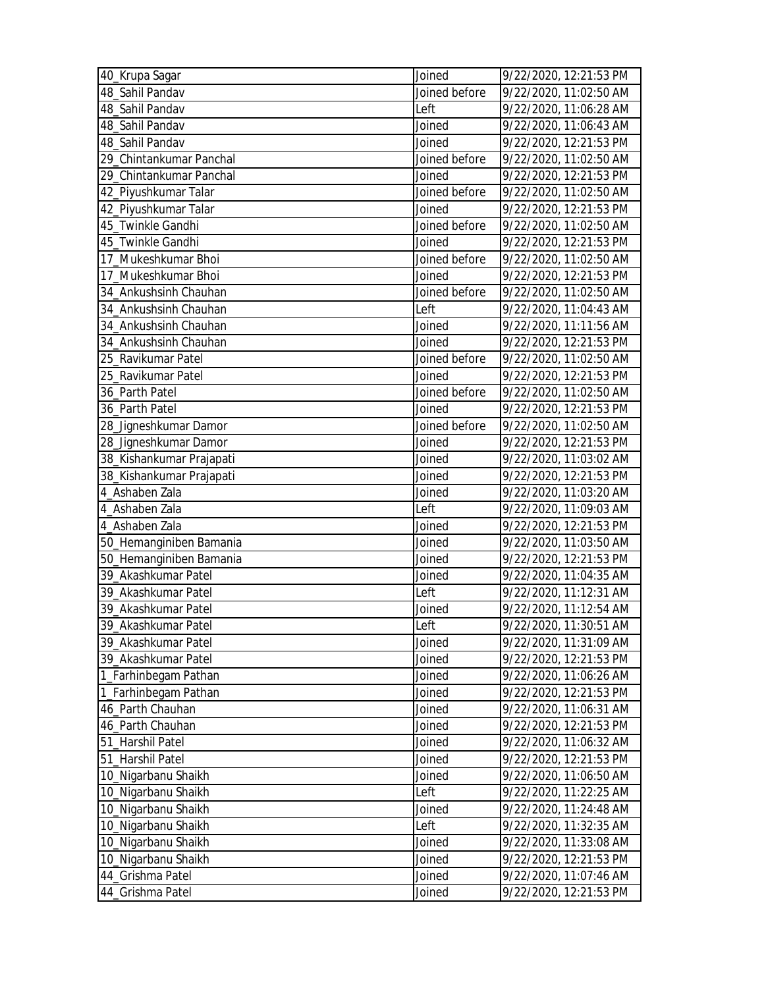| 40_Krupa Sagar           | Joined        | 9/22/2020, 12:21:53 PM |
|--------------------------|---------------|------------------------|
| 48_Sahil Pandav          | Joined before | 9/22/2020, 11:02:50 AM |
| 48_Sahil Pandav          | Left          | 9/22/2020, 11:06:28 AM |
| 48_Sahil Pandav          | Joined        | 9/22/2020, 11:06:43 AM |
| 48_Sahil Pandav          | Joined        | 9/22/2020, 12:21:53 PM |
| 29 Chintankumar Panchal  | Joined before | 9/22/2020, 11:02:50 AM |
| 29_Chintankumar Panchal  | Joined        | 9/22/2020, 12:21:53 PM |
| 42_Piyushkumar Talar     | Joined before | 9/22/2020, 11:02:50 AM |
| 42_Piyushkumar Talar     | Joined        | 9/22/2020, 12:21:53 PM |
| 45 Twinkle Gandhi        | Joined before | 9/22/2020, 11:02:50 AM |
| 45_Twinkle Gandhi        | Joined        | 9/22/2020, 12:21:53 PM |
| 17_Mukeshkumar Bhoi      | Joined before | 9/22/2020, 11:02:50 AM |
| 17_Mukeshkumar Bhoi      | Joined        | 9/22/2020, 12:21:53 PM |
| 34_Ankushsinh Chauhan    | Joined before | 9/22/2020, 11:02:50 AM |
| 34_Ankushsinh Chauhan    | Left          | 9/22/2020, 11:04:43 AM |
| 34_Ankushsinh Chauhan    | Joined        | 9/22/2020, 11:11:56 AM |
| 34_Ankushsinh Chauhan    | Joined        | 9/22/2020, 12:21:53 PM |
| 25_Ravikumar Patel       | Joined before | 9/22/2020, 11:02:50 AM |
| 25 Ravikumar Patel       | Joined        | 9/22/2020, 12:21:53 PM |
| 36_Parth Patel           | Joined before | 9/22/2020, 11:02:50 AM |
| 36_Parth Patel           | Joined        | 9/22/2020, 12:21:53 PM |
| 28_Jigneshkumar Damor    | Joined before | 9/22/2020, 11:02:50 AM |
| 28_Jigneshkumar Damor    | Joined        | 9/22/2020, 12:21:53 PM |
| 38_Kishankumar Prajapati | Joined        | 9/22/2020, 11:03:02 AM |
| 38_Kishankumar Prajapati | Joined        | 9/22/2020, 12:21:53 PM |
| 4_Ashaben Zala           | Joined        | 9/22/2020, 11:03:20 AM |
| 4 Ashaben Zala           | Left          | 9/22/2020, 11:09:03 AM |
| 4_Ashaben Zala           | Joined        | 9/22/2020, 12:21:53 PM |
| 50_Hemanginiben Bamania  | Joined        | 9/22/2020, 11:03:50 AM |
| 50_Hemanginiben Bamania  | Joined        | 9/22/2020, 12:21:53 PM |
| 39_Akashkumar Patel      | Joined        | 9/22/2020, 11:04:35 AM |
| 39 Akashkumar Patel      | Left          | 9/22/2020, 11:12:31 AM |
| 39_Akashkumar Patel      | Joined        | 9/22/2020, 11:12:54 AM |
| 39_Akashkumar Patel      | Left          | 9/22/2020, 11:30:51 AM |
| 39_Akashkumar Patel      | Joined        | 9/22/2020, 11:31:09 AM |
| 39_Akashkumar Patel      | Joined        | 9/22/2020, 12:21:53 PM |
| 1_Farhinbegam Pathan     | Joined        | 9/22/2020, 11:06:26 AM |
| 1_Farhinbegam Pathan     | Joined        | 9/22/2020, 12:21:53 PM |
| 46_Parth Chauhan         | Joined        | 9/22/2020, 11:06:31 AM |
| 46_Parth Chauhan         | Joined        | 9/22/2020, 12:21:53 PM |
| 51_Harshil Patel         | Joined        | 9/22/2020, 11:06:32 AM |
| 51_Harshil Patel         | Joined        | 9/22/2020, 12:21:53 PM |
| 10_Nigarbanu Shaikh      | Joined        | 9/22/2020, 11:06:50 AM |
| 10_Nigarbanu Shaikh      | Left          | 9/22/2020, 11:22:25 AM |
| 10_Nigarbanu Shaikh      | Joined        | 9/22/2020, 11:24:48 AM |
| 10_Nigarbanu Shaikh      | Left          | 9/22/2020, 11:32:35 AM |
| 10_Nigarbanu Shaikh      | Joined        | 9/22/2020, 11:33:08 AM |
| 10_Nigarbanu Shaikh      | Joined        | 9/22/2020, 12:21:53 PM |
| 44_Grishma Patel         | Joined        | 9/22/2020, 11:07:46 AM |
| 44_Grishma Patel         | Joined        | 9/22/2020, 12:21:53 PM |